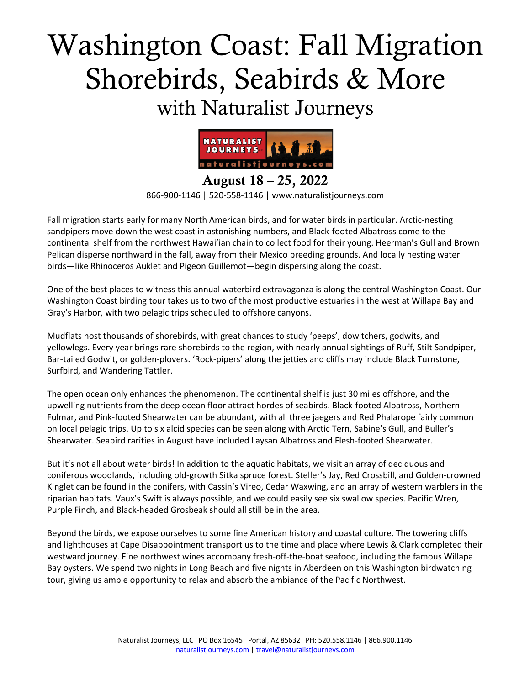# Washington Coast: Fall Migration Shorebirds, Seabirds & More with Naturalist Journeys



August 18 – 25, 2022 866-900-1146 | 520-558-1146 | www.naturalistjourneys.com

Fall migration starts early for many North American birds, and for water birds in particular. Arctic-nesting sandpipers move down the west coast in astonishing numbers, and Black-footed Albatross come to the continental shelf from the northwest Hawai'ian chain to collect food for their young. Heerman's Gull and Brown Pelican disperse northward in the fall, away from their Mexico breeding grounds. And locally nesting water birds—like Rhinoceros Auklet and Pigeon Guillemot—begin dispersing along the coast.

One of the best places to witness this annual waterbird extravaganza is along the central Washington Coast. Our Washington Coast birding tour takes us to two of the most productive estuaries in the west at Willapa Bay and Gray's Harbor, with two pelagic trips scheduled to offshore canyons.

Mudflats host thousands of shorebirds, with great chances to study 'peeps', dowitchers, godwits, and yellowlegs. Every year brings rare shorebirds to the region, with nearly annual sightings of Ruff, Stilt Sandpiper, Bar-tailed Godwit, or golden-plovers. 'Rock-pipers' along the jetties and cliffs may include Black Turnstone, Surfbird, and Wandering Tattler.

The open ocean only enhances the phenomenon. The continental shelf is just 30 miles offshore, and the upwelling nutrients from the deep ocean floor attract hordes of seabirds. Black-footed Albatross, Northern Fulmar, and Pink-footed Shearwater can be abundant, with all three jaegers and Red Phalarope fairly common on local pelagic trips. Up to six alcid species can be seen along with Arctic Tern, Sabine's Gull, and Buller's Shearwater. Seabird rarities in August have included Laysan Albatross and Flesh-footed Shearwater.

But it's not all about water birds! In addition to the aquatic habitats, we visit an array of deciduous and coniferous woodlands, including old-growth Sitka spruce forest. Steller's Jay, Red Crossbill, and Golden-crowned Kinglet can be found in the conifers, with Cassin's Vireo, Cedar Waxwing, and an array of western warblers in the riparian habitats. Vaux's Swift is always possible, and we could easily see six swallow species. Pacific Wren, Purple Finch, and Black-headed Grosbeak should all still be in the area.

Beyond the birds, we expose ourselves to some fine American history and coastal culture. The towering cliffs and lighthouses at Cape Disappointment transport us to the time and place where Lewis & Clark completed their westward journey. Fine northwest wines accompany fresh-off-the-boat seafood, including the famous Willapa Bay oysters. We spend two nights in Long Beach and five nights in Aberdeen on this Washington birdwatching tour, giving us ample opportunity to relax and absorb the ambiance of the Pacific Northwest.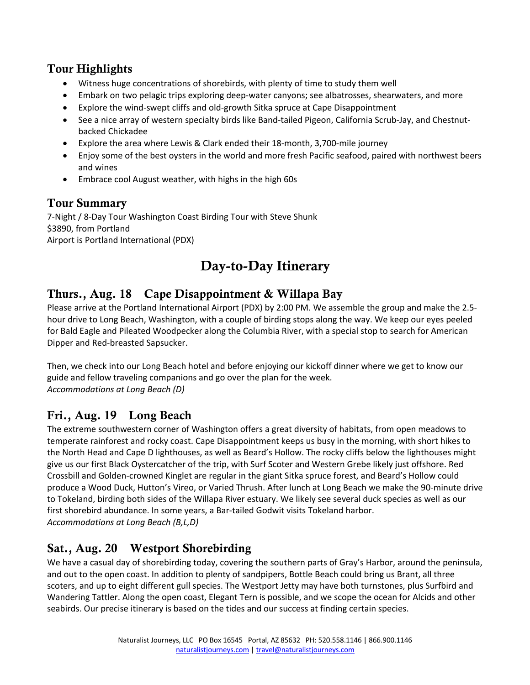#### Tour Highlights

- Witness huge concentrations of shorebirds, with plenty of time to study them well
- Embark on two pelagic trips exploring deep-water canyons; see albatrosses, shearwaters, and more
- Explore the wind-swept cliffs and old-growth Sitka spruce at Cape Disappointment
- See a nice array of western specialty birds like Band-tailed Pigeon, California Scrub-Jay, and Chestnutbacked Chickadee
- Explore the area where Lewis & Clark ended their 18-month, 3,700-mile journey
- Enjoy some of the best oysters in the world and more fresh Pacific seafood, paired with northwest beers and wines
- Embrace cool August weather, with highs in the high 60s

#### Tour Summary

7-Night / 8-Day Tour Washington Coast Birding Tour with Steve Shunk \$3890, from Portland Airport is Portland International (PDX)

# Day-to-Day Itinerary

# Thurs., Aug. 18 Cape Disappointment & Willapa Bay

Please arrive at the Portland International Airport (PDX) by 2:00 PM. We assemble the group and make the 2.5 hour drive to Long Beach, Washington, with a couple of birding stops along the way. We keep our eyes peeled for Bald Eagle and Pileated Woodpecker along the Columbia River, with a special stop to search for American Dipper and Red-breasted Sapsucker.

Then, we check into our Long Beach hotel and before enjoying our kickoff dinner where we get to know our guide and fellow traveling companions and go over the plan for the week. *Accommodations at Long Beach (D)*

# Fri., Aug. 19 Long Beach

The extreme southwestern corner of Washington offers a great diversity of habitats, from open meadows to temperate rainforest and rocky coast. Cape Disappointment keeps us busy in the morning, with short hikes to the North Head and Cape D lighthouses, as well as Beard's Hollow. The rocky cliffs below the lighthouses might give us our first Black Oystercatcher of the trip, with Surf Scoter and Western Grebe likely just offshore. Red Crossbill and Golden-crowned Kinglet are regular in the giant Sitka spruce forest, and Beard's Hollow could produce a Wood Duck, Hutton's Vireo, or Varied Thrush. After lunch at Long Beach we make the 90-minute drive to Tokeland, birding both sides of the Willapa River estuary. We likely see several duck species as well as our first shorebird abundance. In some years, a Bar-tailed Godwit visits Tokeland harbor. *Accommodations at Long Beach (B,L,D)*

# Sat., Aug. 20 Westport Shorebirding

We have a casual day of shorebirding today, covering the southern parts of Gray's Harbor, around the peninsula, and out to the open coast. In addition to plenty of sandpipers, Bottle Beach could bring us Brant, all three scoters, and up to eight different gull species. The Westport Jetty may have both turnstones, plus Surfbird and Wandering Tattler. Along the open coast, Elegant Tern is possible, and we scope the ocean for Alcids and other seabirds. Our precise itinerary is based on the tides and our success at finding certain species.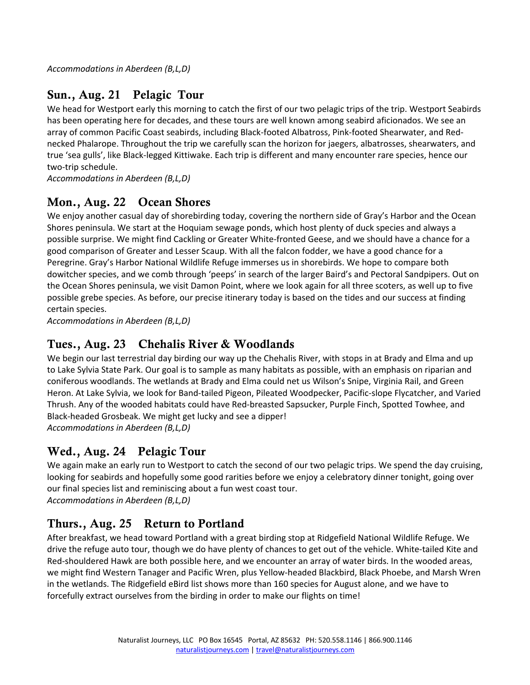*Accommodations in Aberdeen (B,L,D)*

# Sun., Aug. 21 Pelagic Tour

We head for Westport early this morning to catch the first of our two pelagic trips of the trip. Westport Seabirds has been operating here for decades, and these tours are well known among seabird aficionados. We see an array of common Pacific Coast seabirds, including Black-footed Albatross, Pink-footed Shearwater, and Rednecked Phalarope. Throughout the trip we carefully scan the horizon for jaegers, albatrosses, shearwaters, and true 'sea gulls', like Black-legged Kittiwake. Each trip is different and many encounter rare species, hence our two-trip schedule.

*Accommodations in Aberdeen (B,L,D)*

#### Mon., Aug. 22 Ocean Shores

We enjoy another casual day of shorebirding today, covering the northern side of Gray's Harbor and the Ocean Shores peninsula. We start at the Hoquiam sewage ponds, which host plenty of duck species and always a possible surprise. We might find Cackling or Greater White-fronted Geese, and we should have a chance for a good comparison of Greater and Lesser Scaup. With all the falcon fodder, we have a good chance for a Peregrine. Gray's Harbor National Wildlife Refuge immerses us in shorebirds. We hope to compare both dowitcher species, and we comb through 'peeps' in search of the larger Baird's and Pectoral Sandpipers. Out on the Ocean Shores peninsula, we visit Damon Point, where we look again for all three scoters, as well up to five possible grebe species. As before, our precise itinerary today is based on the tides and our success at finding certain species.

*Accommodations in Aberdeen (B,L,D)*

# Tues., Aug. 23 Chehalis River & Woodlands

We begin our last terrestrial day birding our way up the Chehalis River, with stops in at Brady and Elma and up to Lake Sylvia State Park. Our goal is to sample as many habitats as possible, with an emphasis on riparian and coniferous woodlands. The wetlands at Brady and Elma could net us Wilson's Snipe, Virginia Rail, and Green Heron. At Lake Sylvia, we look for Band-tailed Pigeon, Pileated Woodpecker, Pacific-slope Flycatcher, and Varied Thrush. Any of the wooded habitats could have Red-breasted Sapsucker, Purple Finch, Spotted Towhee, and Black-headed Grosbeak. We might get lucky and see a dipper! *Accommodations in Aberdeen (B,L,D)*

## Wed., Aug. 24 Pelagic Tour

We again make an early run to Westport to catch the second of our two pelagic trips. We spend the day cruising, looking for seabirds and hopefully some good rarities before we enjoy a celebratory dinner tonight, going over our final species list and reminiscing about a fun west coast tour. *Accommodations in Aberdeen (B,L,D)*

## Thurs., Aug. 25 Return to Portland

After breakfast, we head toward Portland with a great birding stop at Ridgefield National Wildlife Refuge. We drive the refuge auto tour, though we do have plenty of chances to get out of the vehicle. White-tailed Kite and Red-shouldered Hawk are both possible here, and we encounter an array of water birds. In the wooded areas, we might find Western Tanager and Pacific Wren, plus Yellow-headed Blackbird, Black Phoebe, and Marsh Wren in the wetlands. The Ridgefield eBird list shows more than 160 species for August alone, and we have to forcefully extract ourselves from the birding in order to make our flights on time!